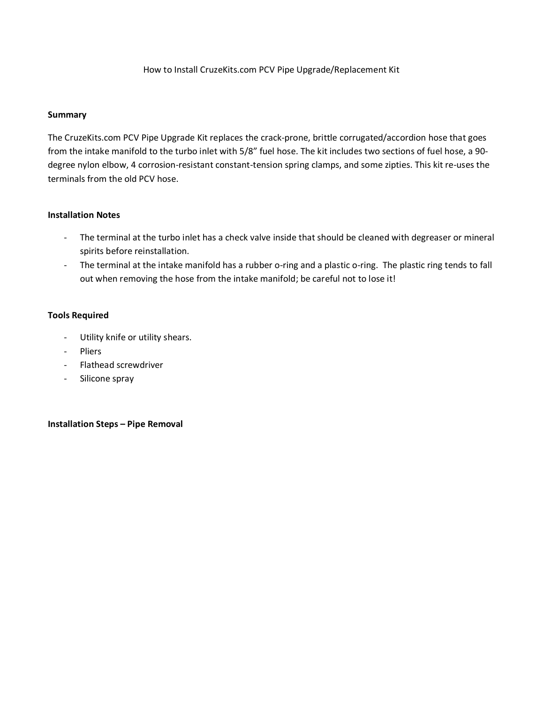## How to Install CruzeKits.com PCV Pipe Upgrade/Replacement Kit

## **Summary**

The CruzeKits.com PCV Pipe Upgrade Kit replaces the crack-prone, brittle corrugated/accordion hose that goes from the intake manifold to the turbo inlet with 5/8" fuel hose. The kit includes two sections of fuel hose, a 90 degree nylon elbow, 4 corrosion-resistant constant-tension spring clamps, and some zipties. This kit re-uses the terminals from the old PCV hose.

## **Installation Notes**

- The terminal at the turbo inlet has a check valve inside that should be cleaned with degreaser or mineral spirits before reinstallation.
- The terminal at the intake manifold has a rubber o-ring and a plastic o-ring. The plastic ring tends to fall out when removing the hose from the intake manifold; be careful not to lose it!

## **Tools Required**

- Utility knife or utility shears.
- Pliers
- Flathead screwdriver
- Silicone spray

**Installation Steps – Pipe Removal**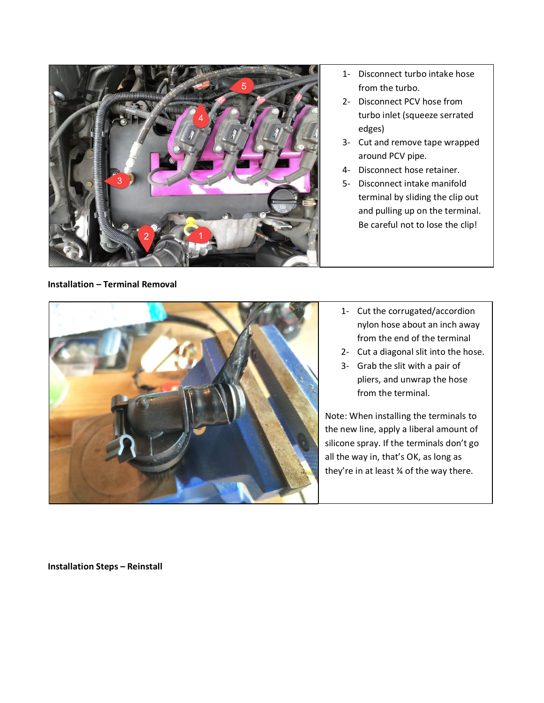

1- Disconnect turbo intake hose from the turbo.

- 2- Disconnect PCV hose from turbo inlet (squeeze serrated edges)
- 3- Cut and remove tape wrapped around PCV pipe.
- 4- Disconnect hose retainer.
- 5- Disconnect intake manifold terminal by sliding the clip out and pulling up on the terminal. Be careful not to lose the clip!

**Installation – Terminal Removal**



- 1- Cut the corrugated/accordion nylon hose about an inch away from the end of the terminal
- 2- Cut a diagonal slit into the hose.
- 3- Grab the slit with a pair of pliers, and unwrap the hose from the terminal.

Note: When installing the terminals to the new line, apply a liberal amount of silicone spray. If the terminals don't go all the way in, that's OK, as long as they're in at least ¾ of the way there.

**Installation Steps – Reinstall**